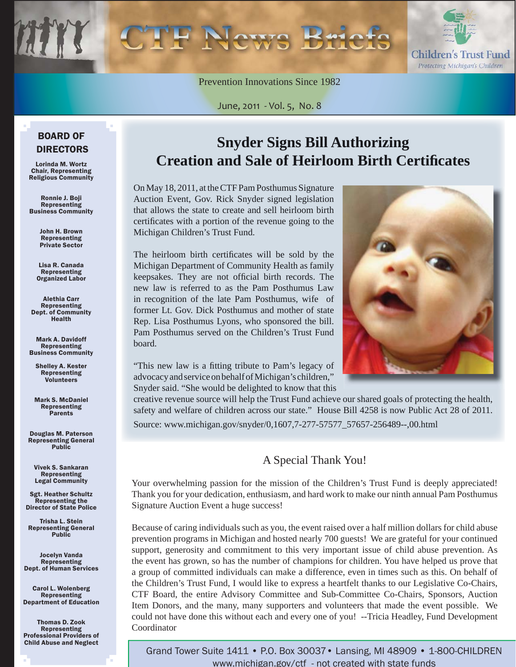

Prevention Innovations Since 1982

June, 2011 - Vol. 5, No. 8

#### BOARD OF DIRECTORS

Lorinda M. Wortz Chair, Representing Religious Community

Ronnie J. Boji Representing Business Community

> John H. Brown Representing Private Sector

Lisa R. Canada Representing Organized Labor

Alethia Carr Representing Dept. of Community Health

Mark A. Davidoff Representing Business Community

Shelley A. Kester Representing Volunteers

Mark S. McDaniel Representing Parents

Douglas M. Paterson Representing General Public

Vivek S. Sankaran Representing Legal Community

Sgt. Heather Schultz Representing the Director of State Police

Trisha L. Stein Representing General **Public** 

Jocelyn Vanda Representing Dept. of Human Services

Carol L. Wolenberg Representing Department of Education

Thomas D. Zook Representing Professional Providers of Child Abuse and Neglect

### **Snyder Signs Bill Authorizing Creation and Sale of Heirloom Birth Certifi cates**

On May 18, 2011, at the CTF Pam Posthumus Signature Auction Event, Gov. Rick Snyder signed legislation that allows the state to create and sell heirloom birth certificates with a portion of the revenue going to the Michigan Children's Trust Fund.

The heirloom birth certificates will be sold by the Michigan Department of Community Health as family keepsakes. They are not official birth records. The new law is referred to as the Pam Posthumus Law in recognition of the late Pam Posthumus, wife of former Lt. Gov. Dick Posthumus and mother of state Rep. Lisa Posthumus Lyons, who sponsored the bill. Pam Posthumus served on the Children's Trust Fund board.

"This new law is a fitting tribute to Pam's legacy of advocacy and service on behalf of Michigan's children," Snyder said. "She would be delighted to know that this

creative revenue source will help the Trust Fund achieve our shared goals of protecting the health, safety and welfare of children across our state." House Bill 4258 is now Public Act 28 of 2011.

Source: [www.michigan.gov/snyder/0,1607,7-277-57577\\_57657-256489--,00.html](www.michigan.gov/snyder/0,1607,7-277-57577_57657-256489--,00.html)

### A Special Thank You!

Your overwhelming passion for the mission of the Children's Trust Fund is deeply appreciated! Thank you for your dedication, enthusiasm, and hard work to make our ninth annual Pam Posthumus Signature Auction Event a huge success!

Because of caring individuals such as you, the event raised over a half million dollars for child abuse prevention programs in Michigan and hosted nearly 700 guests! We are grateful for your continued support, generosity and commitment to this very important issue of child abuse prevention. As the event has grown, so has the number of champions for children. You have helped us prove that a group of committed individuals can make a difference, even in times such as this. On behalf of the Children's Trust Fund, I would like to express a heartfelt thanks to our Legislative Co-Chairs, CTF Board, the entire Advisory Committee and Sub-Committee Co-Chairs, Sponsors, Auction Item Donors, and the many, many supporters and volunteers that made the event possible. We could not have done this without each and every one of you! --Tricia Headley, Fund Development Coordinator

Grand Tower Suite 1411 • P.O. Box 30037• Lansing, MI 48909 • 1-800-CHILDREN www.michigan.gov/ctf - not created with state funds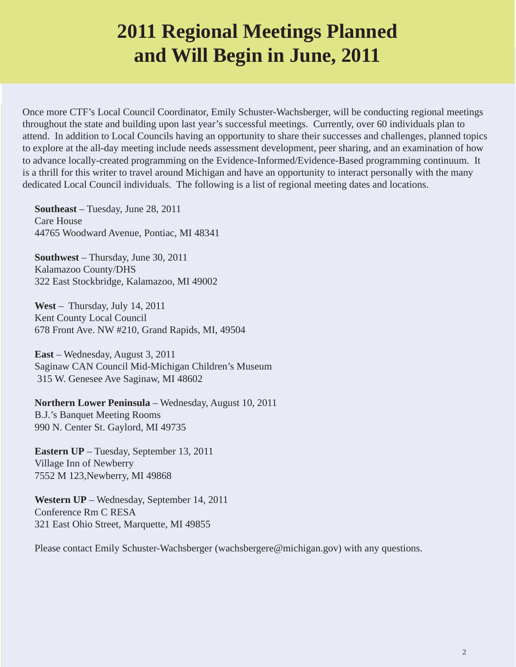# **2011 Regional Meetings Planned and Will Begin in June, 2011**

Once more CTF's Local Council Coordinator, Emily Schuster-Wachsberger, will be conducting regional meetings throughout the state and building upon last year's successful meetings. Currently, over 60 individuals plan to attend. In addition to Local Councils having an opportunity to share their successes and challenges, planned topics to explore at the all-day meeting include needs assessment development, peer sharing, and an examination of how to advance locally-created programming on the Evidence-Informed/Evidence-Based programming continuum. It is a thrill for this writer to travel around Michigan and have an opportunity to interact personally with the many dedicated Local Council individuals. The following is a list of regional meeting dates and locations.

**Southeast** – Tuesday, June 28, 2011 Care House 44765 Woodward Avenue, Pontiac, MI 48341

**Southwest** – Thursday, June 30, 2011 Kalamazoo County/DHS 322 East Stockbridge, Kalamazoo, MI 49002

**West** – Thursday, July 14, 2011 Kent County Local Council 678 Front Ave. NW #210, Grand Rapids, MI, 49504

**East** – Wednesday, August 3, 2011 Saginaw CAN Council Mid-Michigan Children's Museum 315 W. Genesee Ave Saginaw, MI 48602

**Northern Lower Peninsula** – Wednesday, August 10, 2011 B.J.'s Banquet Meeting Rooms 990 N. Center St. Gaylord, MI 49735

**Eastern UP** – Tuesday, September 13, 2011 Village Inn of Newberry 7552 M 123,Newberry, MI 49868

**Western UP** – Wednesday, September 14, 2011 Conference Rm C RESA 321 East Ohio Street, Marquette, MI 49855

Please contact Emily Schuster-Wachsberger (wachsbergere@michigan.gov) with any questions.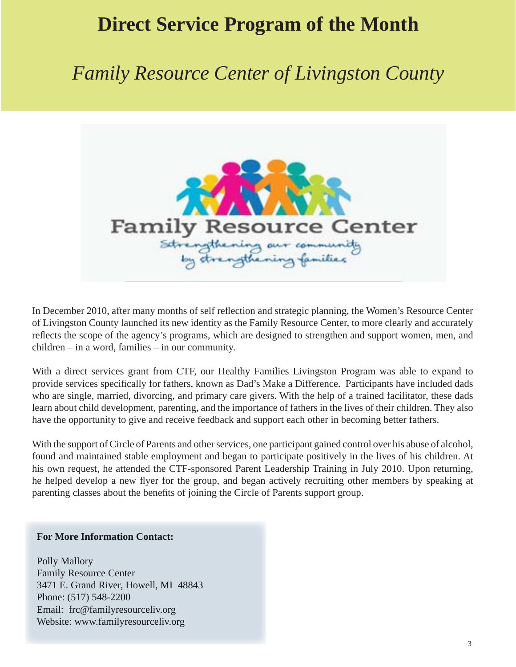## **Direct Service Program of the Month**

# *Family Resource Center of Livingston County*



In December 2010, after many months of self reflection and strategic planning, the Women's Resource Center of Livingston County launched its new identity as the Family Resource Center, to more clearly and accurately reflects the scope of the agency's programs, which are designed to strengthen and support women, men, and children – in a word, families – in our community.

With a direct services grant from CTF, our Healthy Families Livingston Program was able to expand to provide services specifically for fathers, known as Dad's Make a Difference. Participants have included dads who are single, married, divorcing, and primary care givers. With the help of a trained facilitator, these dads learn about child development, parenting, and the importance of fathers in the lives of their children. They also have the opportunity to give and receive feedback and support each other in becoming better fathers.

With the support of Circle of Parents and other services, one participant gained control over his abuse of alcohol, found and maintained stable employment and began to participate positively in the lives of his children. At his own request, he attended the CTF-sponsored Parent Leadership Training in July 2010. Upon returning, he helped develop a new flyer for the group, and began actively recruiting other members by speaking at parenting classes about the benefits of joining the Circle of Parents support group.

#### **For More Information Contact:**

Polly Mallory Family Resource Center 3471 E. Grand River, Howell, MI 48843 Phone: (517) 548-2200 Email: frc@familyresourceliv.org Website: www.familyresourceliv.org